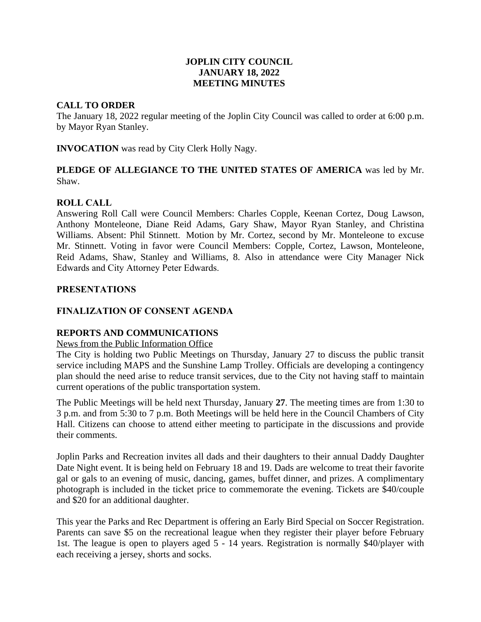## **JOPLIN CITY COUNCIL JANUARY 18, 2022 MEETING MINUTES**

### **CALL TO ORDER**

The January 18, 2022 regular meeting of the Joplin City Council was called to order at 6:00 p.m. by Mayor Ryan Stanley.

**INVOCATION** was read by City Clerk Holly Nagy.

# **PLEDGE OF ALLEGIANCE TO THE UNITED STATES OF AMERICA** was led by Mr. Shaw.

# **ROLL CALL**

Answering Roll Call were Council Members: Charles Copple, Keenan Cortez, Doug Lawson, Anthony Monteleone, Diane Reid Adams, Gary Shaw, Mayor Ryan Stanley, and Christina Williams. Absent: Phil Stinnett. Motion by Mr. Cortez, second by Mr. Monteleone to excuse Mr. Stinnett. Voting in favor were Council Members: Copple, Cortez, Lawson, Monteleone, Reid Adams, Shaw, Stanley and Williams, 8. Also in attendance were City Manager Nick Edwards and City Attorney Peter Edwards.

### **PRESENTATIONS**

## **FINALIZATION OF CONSENT AGENDA**

# **REPORTS AND COMMUNICATIONS**

#### News from the Public Information Office

The City is holding two Public Meetings on Thursday, January 27 to discuss the public transit service including MAPS and the Sunshine Lamp Trolley. Officials are developing a contingency plan should the need arise to reduce transit services, due to the City not having staff to maintain current operations of the public transportation system.

The Public Meetings will be held next Thursday, January **27**. The meeting times are from 1:30 to 3 p.m. and from 5:30 to 7 p.m. Both Meetings will be held here in the Council Chambers of City Hall. Citizens can choose to attend either meeting to participate in the discussions and provide their comments.

Joplin Parks and Recreation invites all dads and their daughters to their annual Daddy Daughter Date Night event. It is being held on February 18 and 19. Dads are welcome to treat their favorite gal or gals to an evening of music, dancing, games, buffet dinner, and prizes. A complimentary photograph is included in the ticket price to commemorate the evening. Tickets are \$40/couple and \$20 for an additional daughter.

This year the Parks and Rec Department is offering an Early Bird Special on Soccer Registration. Parents can save \$5 on the recreational league when they register their player before February 1st. The league is open to players aged 5 - 14 years. Registration is normally \$40/player with each receiving a jersey, shorts and socks.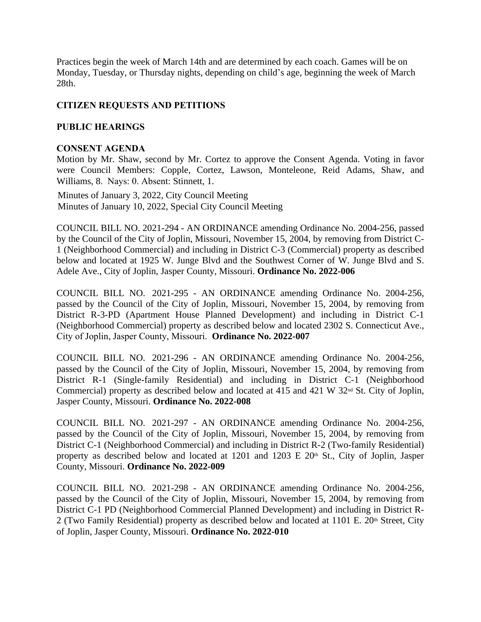Practices begin the week of March 14th and are determined by each coach. Games will be on Monday, Tuesday, or Thursday nights, depending on child's age, beginning the week of March 28th.

# **CITIZEN REQUESTS AND PETITIONS**

# **PUBLIC HEARINGS**

## **CONSENT AGENDA**

Motion by Mr. Shaw, second by Mr. Cortez to approve the Consent Agenda. Voting in favor were Council Members: Copple, Cortez, Lawson, Monteleone, Reid Adams, Shaw, and Williams, 8. Nays: 0. Absent: Stinnett, 1.

 Minutes of January 3, 2022, City Council Meeting Minutes of January 10, 2022, Special City Council Meeting

COUNCIL BILL NO. 2021-294 - AN ORDINANCE amending Ordinance No. 2004-256, passed by the Council of the City of Joplin, Missouri, November 15, 2004, by removing from District C-1 (Neighborhood Commercial) and including in District C-3 (Commercial) property as described below and located at 1925 W. Junge Blvd and the Southwest Corner of W. Junge Blvd and S. Adele Ave., City of Joplin, Jasper County, Missouri. **Ordinance No. 2022-006**

COUNCIL BILL NO. 2021-295 - AN ORDINANCE amending Ordinance No. 2004-256, passed by the Council of the City of Joplin, Missouri, November 15, 2004, by removing from District R-3-PD (Apartment House Planned Development) and including in District C-1 (Neighborhood Commercial) property as described below and located 2302 S. Connecticut Ave., City of Joplin, Jasper County, Missouri. **Ordinance No. 2022-007**

COUNCIL BILL NO. 2021-296 - AN ORDINANCE amending Ordinance No. 2004-256, passed by the Council of the City of Joplin, Missouri, November 15, 2004, by removing from District R-1 (Single-family Residential) and including in District C-1 (Neighborhood Commercial) property as described below and located at 415 and 421 W 32nd St. City of Joplin, Jasper County, Missouri. **Ordinance No. 2022-008**

COUNCIL BILL NO. 2021-297 - AN ORDINANCE amending Ordinance No. 2004-256, passed by the Council of the City of Joplin, Missouri, November 15, 2004, by removing from District C-1 (Neighborhood Commercial) and including in District R-2 (Two-family Residential) property as described below and located at  $1201$  and  $1203 \text{ E } 20$ <sup>th</sup> St., City of Joplin, Jasper County, Missouri. **Ordinance No. 2022-009**

COUNCIL BILL NO. 2021-298 - AN ORDINANCE amending Ordinance No. 2004-256, passed by the Council of the City of Joplin, Missouri, November 15, 2004, by removing from District C-1 PD (Neighborhood Commercial Planned Development) and including in District R-2 (Two Family Residential) property as described below and located at 1101 E. 20<sup>th</sup> Street, City of Joplin, Jasper County, Missouri. **Ordinance No. 2022-010**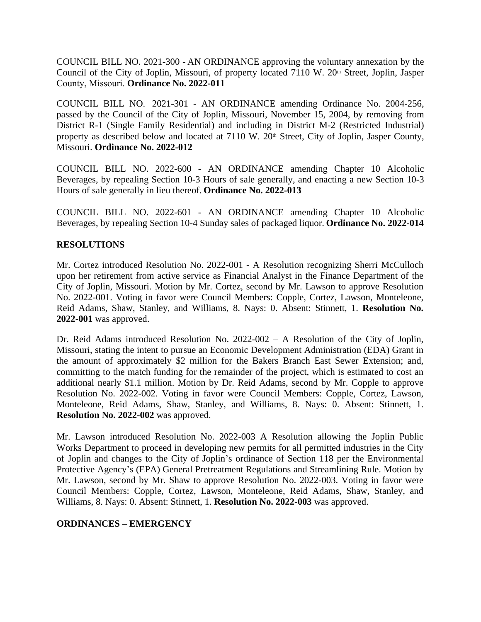COUNCIL BILL NO. 2021-300 - AN ORDINANCE approving the voluntary annexation by the Council of the City of Joplin, Missouri, of property located 7110 W. 20<sup>th</sup> Street, Joplin, Jasper County, Missouri. **Ordinance No. 2022-011**

COUNCIL BILL NO. 2021-301 - AN ORDINANCE amending Ordinance No. 2004-256, passed by the Council of the City of Joplin, Missouri, November 15, 2004, by removing from District R-1 (Single Family Residential) and including in District M-2 (Restricted Industrial) property as described below and located at 7110 W. 20<sup>th</sup> Street, City of Joplin, Jasper County, Missouri. **Ordinance No. 2022-012**

COUNCIL BILL NO. 2022-600 - AN ORDINANCE amending Chapter 10 Alcoholic Beverages, by repealing Section 10-3 Hours of sale generally, and enacting a new Section 10-3 Hours of sale generally in lieu thereof. **Ordinance No. 2022-013**

COUNCIL BILL NO. 2022-601 - AN ORDINANCE amending Chapter 10 Alcoholic Beverages, by repealing Section 10-4 Sunday sales of packaged liquor. **Ordinance No. 2022-014**

### **RESOLUTIONS**

Mr. Cortez introduced Resolution No. 2022-001 - A Resolution recognizing Sherri McCulloch upon her retirement from active service as Financial Analyst in the Finance Department of the City of Joplin, Missouri. Motion by Mr. Cortez, second by Mr. Lawson to approve Resolution No. 2022-001. Voting in favor were Council Members: Copple, Cortez, Lawson, Monteleone, Reid Adams, Shaw, Stanley, and Williams, 8. Nays: 0. Absent: Stinnett, 1. **Resolution No. 2022-001** was approved.

Dr. Reid Adams introduced Resolution No. 2022-002 – A Resolution of the City of Joplin, Missouri, stating the intent to pursue an Economic Development Administration (EDA) Grant in the amount of approximately \$2 million for the Bakers Branch East Sewer Extension; and, committing to the match funding for the remainder of the project, which is estimated to cost an additional nearly \$1.1 million. Motion by Dr. Reid Adams, second by Mr. Copple to approve Resolution No. 2022-002. Voting in favor were Council Members: Copple, Cortez, Lawson, Monteleone, Reid Adams, Shaw, Stanley, and Williams, 8. Nays: 0. Absent: Stinnett, 1. **Resolution No. 2022-002** was approved.

Mr. Lawson introduced Resolution No. 2022-003 A Resolution allowing the Joplin Public Works Department to proceed in developing new permits for all permitted industries in the City of Joplin and changes to the City of Joplin's ordinance of Section 118 per the Environmental Protective Agency's (EPA) General Pretreatment Regulations and Streamlining Rule. Motion by Mr. Lawson, second by Mr. Shaw to approve Resolution No. 2022-003. Voting in favor were Council Members: Copple, Cortez, Lawson, Monteleone, Reid Adams, Shaw, Stanley, and Williams, 8. Nays: 0. Absent: Stinnett, 1. **Resolution No. 2022-003** was approved.

#### **ORDINANCES – EMERGENCY**